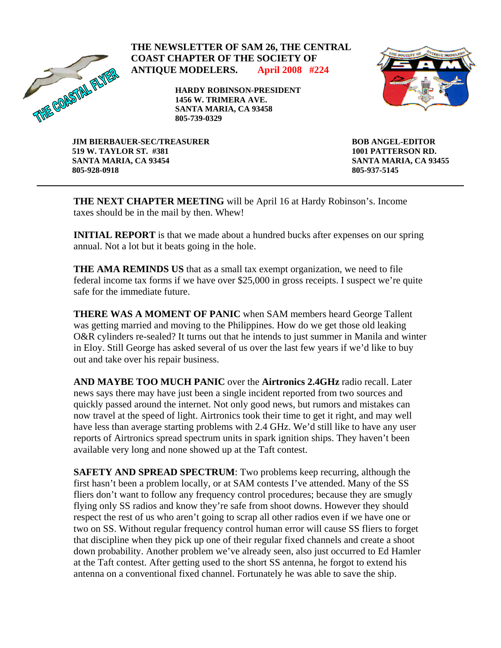

## **THE NEWSLETTER OF SAM 26, THE CENTRAL COAST CHAPTER OF THE SOCIETY OF ANTIQUE MODELERS. April 2008 #224**

**HARDY ROBINSON-PRESIDENT 1456 W. TRIMERA AVE. SANTA MARIA, CA 93458 805-739-0329** 



**JIM BIERBAUER-SEC/TREASURER 519 W. TAYLOR ST. #381 SANTA MARIA, CA 93454 805-928-0918** 

**BOB ANGEL-EDITOR 1001 PATTERSON RD. SANTA MARIA, CA 93455 805-937-5145** 

**THE NEXT CHAPTER MEETING** will be April 16 at Hardy Robinson's. Income taxes should be in the mail by then. Whew!

**INITIAL REPORT** is that we made about a hundred bucks after expenses on our spring annual. Not a lot but it beats going in the hole.

**THE AMA REMINDS US** that as a small tax exempt organization, we need to file federal income tax forms if we have over \$25,000 in gross receipts. I suspect we're quite safe for the immediate future.

**THERE WAS A MOMENT OF PANIC** when SAM members heard George Tallent was getting married and moving to the Philippines. How do we get those old leaking O&R cylinders re-sealed? It turns out that he intends to just summer in Manila and winter in Eloy. Still George has asked several of us over the last few years if we'd like to buy out and take over his repair business.

**AND MAYBE TOO MUCH PANIC** over the **Airtronics 2.4GHz** radio recall. Later news says there may have just been a single incident reported from two sources and quickly passed around the internet. Not only good news, but rumors and mistakes can now travel at the speed of light. Airtronics took their time to get it right, and may well have less than average starting problems with 2.4 GHz. We'd still like to have any user reports of Airtronics spread spectrum units in spark ignition ships. They haven't been available very long and none showed up at the Taft contest.

**SAFETY AND SPREAD SPECTRUM**: Two problems keep recurring, although the first hasn't been a problem locally, or at SAM contests I've attended. Many of the SS fliers don't want to follow any frequency control procedures; because they are smugly flying only SS radios and know they're safe from shoot downs. However they should respect the rest of us who aren't going to scrap all other radios even if we have one or two on SS. Without regular frequency control human error will cause SS fliers to forget that discipline when they pick up one of their regular fixed channels and create a shoot down probability. Another problem we've already seen, also just occurred to Ed Hamler at the Taft contest. After getting used to the short SS antenna, he forgot to extend his antenna on a conventional fixed channel. Fortunately he was able to save the ship.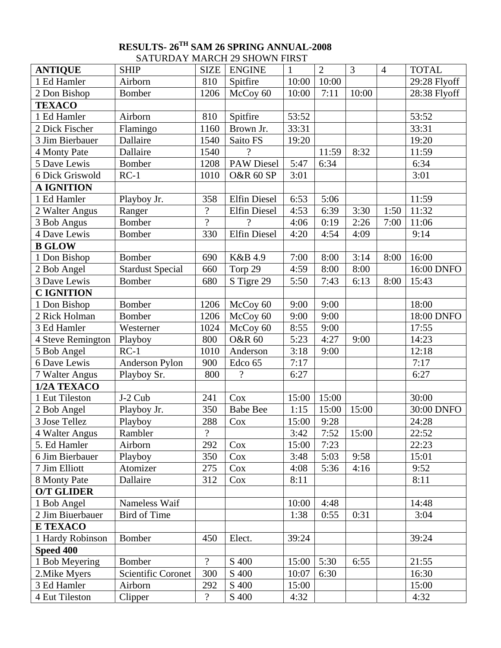## **RESULTS- 26TH SAM 26 SPRING ANNUAL-2008**  SATURDAY MARCH 29 SHOWN FIRST

| <b>ANTIQUE</b>    | <u>DI II UNDITI MIMULITIZI DIIO MATTINDI</u><br><b>SHIP</b> | <b>SIZE</b>              | <b>ENGINE</b>        | $\mathbf{1}$ | $\overline{2}$ | $\overline{3}$ | $\overline{4}$ | <b>TOTAL</b> |
|-------------------|-------------------------------------------------------------|--------------------------|----------------------|--------------|----------------|----------------|----------------|--------------|
| 1 Ed Hamler       | Airborn                                                     | 810                      | Spitfire             | 10:00        | 10:00          |                |                | 29:28 Flyoff |
| 2 Don Bishop      | Bomber                                                      | 1206                     | McCoy 60             | 10:00        | 7:11           | 10:00          |                | 28:38 Flyoff |
| <b>TEXACO</b>     |                                                             |                          |                      |              |                |                |                |              |
| 1 Ed Hamler       | Airborn                                                     | 810                      | Spitfire             | 53:52        |                |                |                | 53:52        |
| 2 Dick Fischer    | Flamingo                                                    | 1160                     | Brown Jr.            | 33:31        |                |                |                | 33:31        |
| 3 Jim Bierbauer   | Dallaire                                                    | 1540                     | Saito FS             | 19:20        |                |                |                | 19:20        |
| 4 Monty Pate      | Dallaire                                                    | 1540                     | $\gamma$             |              | 11:59          | 8:32           |                | 11:59        |
| 5 Dave Lewis      | Bomber                                                      | 1208                     | <b>PAW Diesel</b>    | 5:47         | 6:34           |                |                | 6:34         |
| 6 Dick Griswold   | $RC-1$                                                      | 1010                     | <b>O&amp;R 60 SP</b> | 3:01         |                |                |                | 3:01         |
| <b>A IGNITION</b> |                                                             |                          |                      |              |                |                |                |              |
| 1 Ed Hamler       | Playboy Jr.                                                 | 358                      | <b>Elfin Diesel</b>  | 6:53         | 5:06           |                |                | 11:59        |
| 2 Walter Angus    | Ranger                                                      | $\overline{\mathcal{L}}$ | <b>Elfin Diesel</b>  | 4:53         | 6:39           | 3:30           | 1:50           | 11:32        |
| 3 Bob Angus       | Bomber                                                      | $\overline{?}$           | $\gamma$             | 4:06         | 0:19           | 2:26           | 7:00           | 11:06        |
| 4 Dave Lewis      | Bomber                                                      | 330                      | <b>Elfin Diesel</b>  | 4:20         | 4:54           | 4:09           |                | 9:14         |
| <b>B GLOW</b>     |                                                             |                          |                      |              |                |                |                |              |
| 1 Don Bishop      | Bomber                                                      | 690                      | K&B 4.9              | 7:00         | 8:00           | 3:14           | 8:00           | 16:00        |
| 2 Bob Angel       | <b>Stardust Special</b>                                     | 660                      | Torp 29              | 4:59         | 8:00           | 8:00           |                | 16:00 DNFO   |
| 3 Dave Lewis      | <b>Bomber</b>                                               | 680                      | S Tigre 29           | 5:50         | 7:43           | 6:13           | 8:00           | 15:43        |
| <b>CIGNITION</b>  |                                                             |                          |                      |              |                |                |                |              |
| 1 Don Bishop      | <b>Bomber</b>                                               | 1206                     | McCoy 60             | 9:00         | 9:00           |                |                | 18:00        |
| 2 Rick Holman     | Bomber                                                      | 1206                     | McCoy 60             | 9:00         | 9:00           |                |                | 18:00 DNFO   |
| 3 Ed Hamler       | Westerner                                                   | 1024                     | McCoy 60             | 8:55         | 9:00           |                |                | 17:55        |
| 4 Steve Remington | Playboy                                                     | 800                      | <b>O&amp;R 60</b>    | 5:23         | 4:27           | 9:00           |                | 14:23        |
| 5 Bob Angel       | $RC-1$                                                      | 1010                     | Anderson             | 3:18         | 9:00           |                |                | 12:18        |
| 6 Dave Lewis      | Anderson Pylon                                              | 900                      | Edco 65              | 7:17         |                |                |                | 7:17         |
| 7 Walter Angus    | Playboy Sr.                                                 | 800                      | $\overline{?}$       | 6:27         |                |                |                | 6:27         |
| 1/2A TEXACO       |                                                             |                          |                      |              |                |                |                |              |
| 1 Eut Tileston    | J-2 Cub                                                     | 241                      | Cox                  | 15:00        | 15:00          |                |                | 30:00        |
| 2 Bob Angel       | Playboy Jr.                                                 | 350                      | <b>Babe Bee</b>      | 1:15         | 15:00          | 15:00          |                | 30:00 DNFO   |
| 3 Jose Tellez     | Playboy                                                     | 288                      | Cox                  | 15:00        | 9:28           |                |                | 24:28        |
| 4 Walter Angus    | Rambler                                                     | $\overline{\mathcal{L}}$ |                      | 3:42         | 7:52           | 15:00          |                | 22:52        |
| 5. Ed Hamler      | Airborn                                                     | 292                      | Cox                  | 15:00        | 7:23           |                |                | 22:23        |
| 6 Jim Bierbauer   | Playboy                                                     | 350                      | Cox                  | 3:48         | 5:03           | 9:58           |                | 15:01        |
| 7 Jim Elliott     | Atomizer                                                    | 275                      | Cox                  | 4:08         | 5:36           | 4:16           |                | 9:52         |
| 8 Monty Pate      | Dallaire                                                    | 312                      | Cox                  | 8:11         |                |                |                | 8:11         |
| <b>O/T GLIDER</b> |                                                             |                          |                      |              |                |                |                |              |
| 1 Bob Angel       | Nameless Waif                                               |                          |                      | 10:00        | 4:48           |                |                | 14:48        |
| 2 Jim Biuerbauer  | <b>Bird of Time</b>                                         |                          |                      | 1:38         | 0:55           | 0:31           |                | 3:04         |
| <b>E TEXACO</b>   |                                                             |                          |                      |              |                |                |                |              |
| 1 Hardy Robinson  | Bomber                                                      | 450                      | Elect.               | 39:24        |                |                |                | 39:24        |
| Speed 400         |                                                             |                          |                      |              |                |                |                |              |
| 1 Bob Meyering    | Bomber                                                      | $\overline{\mathcal{L}}$ | S 400                | 15:00        | 5:30           | 6:55           |                | 21:55        |
| 2. Mike Myers     | Scientific Coronet                                          | 300                      | S 400                | 10:07        | 6:30           |                |                | 16:30        |
| 3 Ed Hamler       | Airborn                                                     | 292                      | S 400                | 15:00        |                |                |                | 15:00        |
| 4 Eut Tileston    | Clipper                                                     | $\overline{?}$           | S 400                | 4:32         |                |                |                | 4:32         |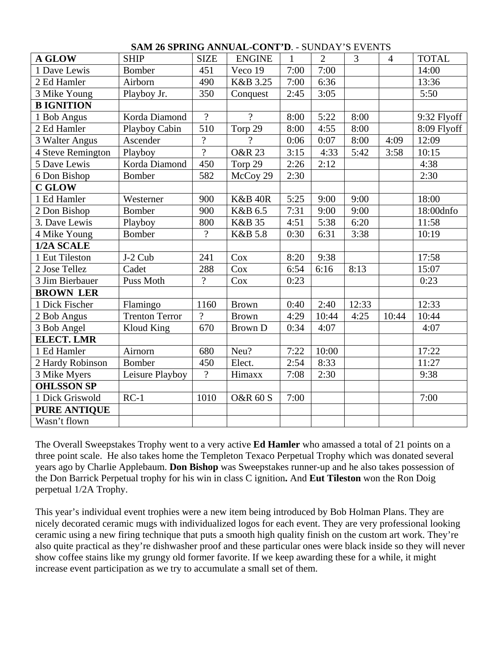| <b>A GLOW</b>       | <b>SHIP</b>           | <b>SIZE</b>              | <b>ENGINE</b>       | $\mathbf{1}$ | $\overline{2}$ | $\overline{3}$ | $\overline{4}$ | <b>TOTAL</b> |
|---------------------|-----------------------|--------------------------|---------------------|--------------|----------------|----------------|----------------|--------------|
| 1 Dave Lewis        | <b>Bomber</b>         | 451                      | Veco 19             | 7:00         | 7:00           |                |                | 14:00        |
| 2 Ed Hamler         | Airborn               | 490                      | K&B 3.25            | 7:00         | 6:36           |                |                | 13:36        |
| 3 Mike Young        | Playboy Jr.           | 350                      | Conquest            | 2:45         | 3:05           |                |                | 5:50         |
| <b>B IGNITION</b>   |                       |                          |                     |              |                |                |                |              |
| 1 Bob Angus         | Korda Diamond         | $\overline{?}$           | $\gamma$            | 8:00         | 5:22           | 8:00           |                | 9:32 Flyoff  |
| 2 Ed Hamler         | Playboy Cabin         | 510                      | Torp 29             | 8:00         | 4:55           | 8:00           |                | 8:09 Flyoff  |
| 3 Walter Angus      | Ascender              | $\overline{\mathcal{L}}$ | $\gamma$            | 0:06         | 0:07           | 8:00           | 4:09           | 12:09        |
| 4 Steve Remington   | Playboy               | $\overline{?}$           | <b>O&amp;R 23</b>   | 3:15         | 4:33           | 5:42           | 3:58           | 10:15        |
| 5 Dave Lewis        | Korda Diamond         | 450                      | Torp 29             | 2:26         | 2:12           |                |                | 4:38         |
| 6 Don Bishop        | <b>Bomber</b>         | 582                      | McCoy 29            | 2:30         |                |                |                | 2:30         |
| <b>C GLOW</b>       |                       |                          |                     |              |                |                |                |              |
| 1 Ed Hamler         | Westerner             | 900                      | <b>K&amp;B 40R</b>  | 5:25         | 9:00           | 9:00           |                | 18:00        |
| 2 Don Bishop        | <b>Bomber</b>         | 900                      | K&B 6.5             | 7:31         | 9:00           | 9:00           |                | 18:00dnfo    |
| 3. Dave Lewis       | Playboy               | 800                      | <b>K&amp;B</b> 35   | 4:51         | 5:38           | 6:20           |                | 11:58        |
| 4 Mike Young        | <b>Bomber</b>         | $\overline{?}$           | <b>K&amp;B 5.8</b>  | 0:30         | 6:31           | 3:38           |                | 10:19        |
| 1/2A SCALE          |                       |                          |                     |              |                |                |                |              |
| 1 Eut Tileston      | J-2 Cub               | 241                      | Cox                 | 8:20         | 9:38           |                |                | 17:58        |
| 2 Jose Tellez       | Cadet                 | 288                      | Cox                 | 6:54         | 6:16           | 8:13           |                | 15:07        |
| 3 Jim Bierbauer     | Puss Moth             | $\overline{?}$           | Cox                 | 0:23         |                |                |                | 0:23         |
| <b>BROWN LER</b>    |                       |                          |                     |              |                |                |                |              |
| 1 Dick Fischer      | Flamingo              | 1160                     | <b>Brown</b>        | 0:40         | 2:40           | 12:33          |                | 12:33        |
| 2 Bob Angus         | <b>Trenton Terror</b> | $\gamma$                 | <b>Brown</b>        | 4:29         | 10:44          | 4:25           | 10:44          | 10:44        |
| 3 Bob Angel         | <b>Kloud King</b>     | 670                      | <b>Brown D</b>      | 0:34         | 4:07           |                |                | 4:07         |
| <b>ELECT. LMR</b>   |                       |                          |                     |              |                |                |                |              |
| 1 Ed Hamler         | Airnorn               | 680                      | Neu?                | 7:22         | 10:00          |                |                | 17:22        |
| 2 Hardy Robinson    | <b>Bomber</b>         | 450                      | Elect.              | 2:54         | 8:33           |                |                | 11:27        |
| 3 Mike Myers        | Leisure Playboy       | $\overline{?}$           | Himaxx              | 7:08         | 2:30           |                |                | 9:38         |
| <b>OHLSSON SP</b>   |                       |                          |                     |              |                |                |                |              |
| 1 Dick Griswold     | $RC-1$                | 1010                     | <b>O&amp;R 60 S</b> | 7:00         |                |                |                | 7:00         |
| <b>PURE ANTIQUE</b> |                       |                          |                     |              |                |                |                |              |
| Wasn't flown        |                       |                          |                     |              |                |                |                |              |

## **SAM 26 SPRING ANNUAL-CONT'D**. - SUNDAY'S EVENTS

The Overall Sweepstakes Trophy went to a very active **Ed Hamler** who amassed a total of 21 points on a three point scale. He also takes home the Templeton Texaco Perpetual Trophy which was donated several years ago by Charlie Applebaum. **Don Bishop** was Sweepstakes runner-up and he also takes possession of the Don Barrick Perpetual trophy for his win in class C ignition**.** And **Eut Tileston** won the Ron Doig perpetual 1/2A Trophy.

This year's individual event trophies were a new item being introduced by Bob Holman Plans. They are nicely decorated ceramic mugs with individualized logos for each event. They are very professional looking ceramic using a new firing technique that puts a smooth high quality finish on the custom art work. They're also quite practical as they're dishwasher proof and these particular ones were black inside so they will never show coffee stains like my grungy old former favorite. If we keep awarding these for a while, it might increase event participation as we try to accumulate a small set of them.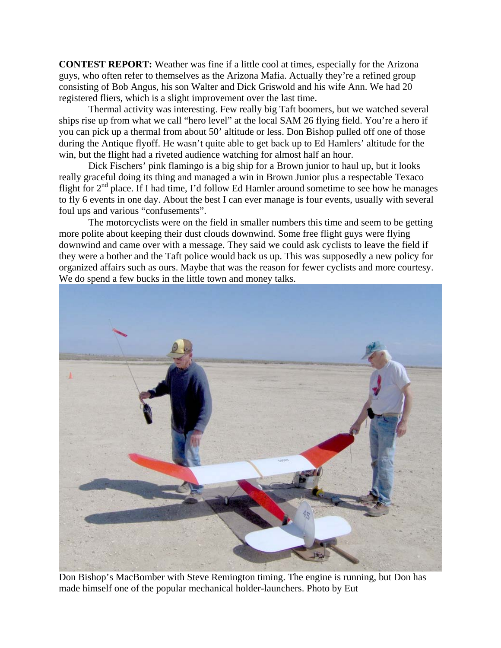**CONTEST REPORT:** Weather was fine if a little cool at times, especially for the Arizona guys, who often refer to themselves as the Arizona Mafia. Actually they're a refined group consisting of Bob Angus, his son Walter and Dick Griswold and his wife Ann. We had 20 registered fliers, which is a slight improvement over the last time.

 Thermal activity was interesting. Few really big Taft boomers, but we watched several ships rise up from what we call "hero level" at the local SAM 26 flying field. You're a hero if you can pick up a thermal from about 50' altitude or less. Don Bishop pulled off one of those during the Antique flyoff. He wasn't quite able to get back up to Ed Hamlers' altitude for the win, but the flight had a riveted audience watching for almost half an hour.

 Dick Fischers' pink flamingo is a big ship for a Brown junior to haul up, but it looks really graceful doing its thing and managed a win in Brown Junior plus a respectable Texaco flight for 2<sup>nd</sup> place. If I had time, I'd follow Ed Hamler around sometime to see how he manages to fly 6 events in one day. About the best I can ever manage is four events, usually with several foul ups and various "confusements".

 The motorcyclists were on the field in smaller numbers this time and seem to be getting more polite about keeping their dust clouds downwind. Some free flight guys were flying downwind and came over with a message. They said we could ask cyclists to leave the field if they were a bother and the Taft police would back us up. This was supposedly a new policy for organized affairs such as ours. Maybe that was the reason for fewer cyclists and more courtesy. We do spend a few bucks in the little town and money talks.



Don Bishop's MacBomber with Steve Remington timing. The engine is running, but Don has made himself one of the popular mechanical holder-launchers. Photo by Eut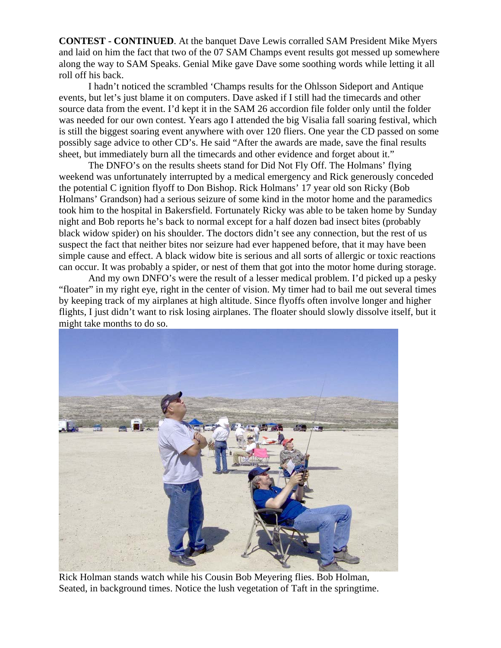**CONTEST - CONTINUED**. At the banquet Dave Lewis corralled SAM President Mike Myers and laid on him the fact that two of the 07 SAM Champs event results got messed up somewhere along the way to SAM Speaks. Genial Mike gave Dave some soothing words while letting it all roll off his back.

 I hadn't noticed the scrambled 'Champs results for the Ohlsson Sideport and Antique events, but let's just blame it on computers. Dave asked if I still had the timecards and other source data from the event. I'd kept it in the SAM 26 accordion file folder only until the folder was needed for our own contest. Years ago I attended the big Visalia fall soaring festival, which is still the biggest soaring event anywhere with over 120 fliers. One year the CD passed on some possibly sage advice to other CD's. He said "After the awards are made, save the final results sheet, but immediately burn all the timecards and other evidence and forget about it."

 The DNFO's on the results sheets stand for Did Not Fly Off. The Holmans' flying weekend was unfortunately interrupted by a medical emergency and Rick generously conceded the potential C ignition flyoff to Don Bishop. Rick Holmans' 17 year old son Ricky (Bob Holmans' Grandson) had a serious seizure of some kind in the motor home and the paramedics took him to the hospital in Bakersfield. Fortunately Ricky was able to be taken home by Sunday night and Bob reports he's back to normal except for a half dozen bad insect bites (probably black widow spider) on his shoulder. The doctors didn't see any connection, but the rest of us suspect the fact that neither bites nor seizure had ever happened before, that it may have been simple cause and effect. A black widow bite is serious and all sorts of allergic or toxic reactions can occur. It was probably a spider, or nest of them that got into the motor home during storage.

 And my own DNFO's were the result of a lesser medical problem. I'd picked up a pesky "floater" in my right eye, right in the center of vision. My timer had to bail me out several times by keeping track of my airplanes at high altitude. Since flyoffs often involve longer and higher flights, I just didn't want to risk losing airplanes. The floater should slowly dissolve itself, but it might take months to do so.



Rick Holman stands watch while his Cousin Bob Meyering flies. Bob Holman, Seated, in background times. Notice the lush vegetation of Taft in the springtime.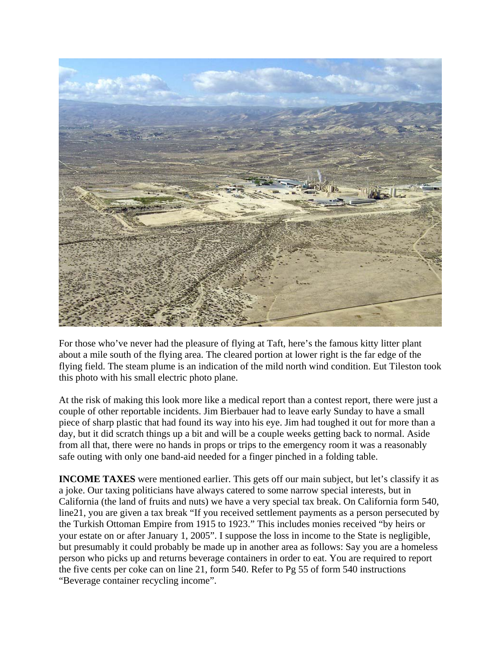

For those who've never had the pleasure of flying at Taft, here's the famous kitty litter plant about a mile south of the flying area. The cleared portion at lower right is the far edge of the flying field. The steam plume is an indication of the mild north wind condition. Eut Tileston took this photo with his small electric photo plane.

At the risk of making this look more like a medical report than a contest report, there were just a couple of other reportable incidents. Jim Bierbauer had to leave early Sunday to have a small piece of sharp plastic that had found its way into his eye. Jim had toughed it out for more than a day, but it did scratch things up a bit and will be a couple weeks getting back to normal. Aside from all that, there were no hands in props or trips to the emergency room it was a reasonably safe outing with only one band-aid needed for a finger pinched in a folding table.

**INCOME TAXES** were mentioned earlier. This gets off our main subject, but let's classify it as a joke. Our taxing politicians have always catered to some narrow special interests, but in California (the land of fruits and nuts) we have a very special tax break. On California form 540, line21, you are given a tax break "If you received settlement payments as a person persecuted by the Turkish Ottoman Empire from 1915 to 1923." This includes monies received "by heirs or your estate on or after January 1, 2005". I suppose the loss in income to the State is negligible, but presumably it could probably be made up in another area as follows: Say you are a homeless person who picks up and returns beverage containers in order to eat. You are required to report the five cents per coke can on line 21, form 540. Refer to Pg 55 of form 540 instructions "Beverage container recycling income".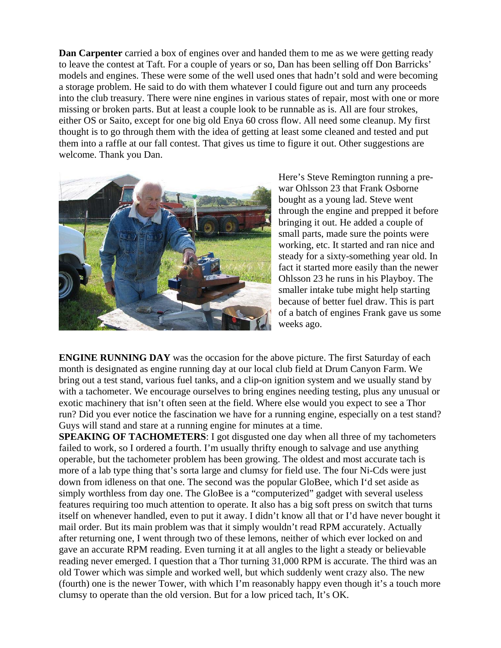**Dan Carpenter** carried a box of engines over and handed them to me as we were getting ready to leave the contest at Taft. For a couple of years or so, Dan has been selling off Don Barricks' models and engines. These were some of the well used ones that hadn't sold and were becoming a storage problem. He said to do with them whatever I could figure out and turn any proceeds into the club treasury. There were nine engines in various states of repair, most with one or more missing or broken parts. But at least a couple look to be runnable as is. All are four strokes, either OS or Saito, except for one big old Enya 60 cross flow. All need some cleanup. My first thought is to go through them with the idea of getting at least some cleaned and tested and put them into a raffle at our fall contest. That gives us time to figure it out. Other suggestions are welcome. Thank you Dan.



Here's Steve Remington running a prewar Ohlsson 23 that Frank Osborne bought as a young lad. Steve went through the engine and prepped it before bringing it out. He added a couple of small parts, made sure the points were working, etc. It started and ran nice and steady for a sixty-something year old. In fact it started more easily than the newer Ohlsson 23 he runs in his Playboy. The smaller intake tube might help starting because of better fuel draw. This is part of a batch of engines Frank gave us s ome weeks ago.

**ENGINE RUNNING DAY** was the occasion for the above picture. The first Saturday of each month is designated as engine running day at our local club field at Drum Canyon Farm. We bring out a test stand, various fuel tanks, and a clip-on ignition system and we usually stand by with a tachometer. We encourage ourselves to bring engines needing testing, plus any unusual or exotic machinery that isn't often seen at the field. Where else would you expect to see a Thor run? Did you ever notice the fascination we have for a running engine, especially on a test stand? Guys will stand and stare at a running engine for minutes at a time.

**SPEAKING OF TACHOMETERS**: I got disgusted one day when all three of my tachometers failed to work, so I ordered a fourth. I'm usually thrifty enough to salvage and use anything operable, but the tachometer problem has been growing. The oldest and most accurate tach is more of a lab type thing that's sorta large and clumsy for field use. The four Ni-Cds were just down from idleness on that one. The second was the popular GloBee, which I'd set aside as simply worthless from day one. The GloBee is a "computerized" gadget with several useless features requiring too much attention to operate. It also has a big soft press on switch that turns itself on whenever handled, even to put it away. I didn't know all that or I'd have never bought it mail order. But its main problem was that it simply wouldn't read RPM accurately. Actually after returning one, I went through two of these lemons, neither of which ever locked on and gave an accurate RPM reading. Even turning it at all angles to the light a steady or believable reading never emerged. I question that a Thor turning 31,000 RPM is accurate. The third was an old Tower which was simple and worked well, but which suddenly went crazy also. The new (fourth) one is the newer Tower, with which I'm reasonably happy even though it's a touch more clumsy to operate than the old version. But for a low priced tach, It's OK.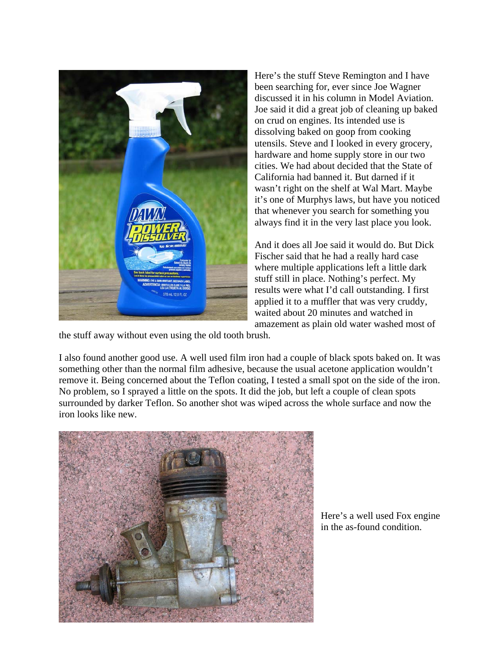

Here's the stuff Steve Remington and I have been searching for, ever since Joe Wagner discussed it in his column in Model Aviation. Joe said it did a great job of cleaning up baked on crud on engines. Its intended use is dissolving baked on goop from cooking utensils. Steve and I looked in every grocery, hardware and home supply store in our two cities. We had about decided that the State of California had banned it. But darned if it wasn't right on the shelf at Wal Mart. Maybe it's one of Murphys laws, but have you noticed that whenever you search for something you always find it in the very last place you look.

And it does all Joe said it would do. But Dick Fischer said that he had a really hard case where multiple applications left a little dark stuff still in place. Nothing's perfect. My results were what I'd call outstanding. I first applied it to a muffler that was very cruddy, waited about 20 minutes and watched in amazement as plain old water washed most of

the stuff away without even using the old tooth brush.

I also found another good use. A well used film iron had a couple of black spots baked on. It was something other than the normal film adhesive, because the usual acetone application wouldn't remove it. Being concerned about the Teflon coating, I tested a small spot on the side of the iron. No problem, so I sprayed a little on the spots. It did the job, but left a couple of clean spots surrounded by darker Teflon. So another shot was wiped across the whole surface and now the iron looks like new.



Here's a well used Fox engine in the as-found condition.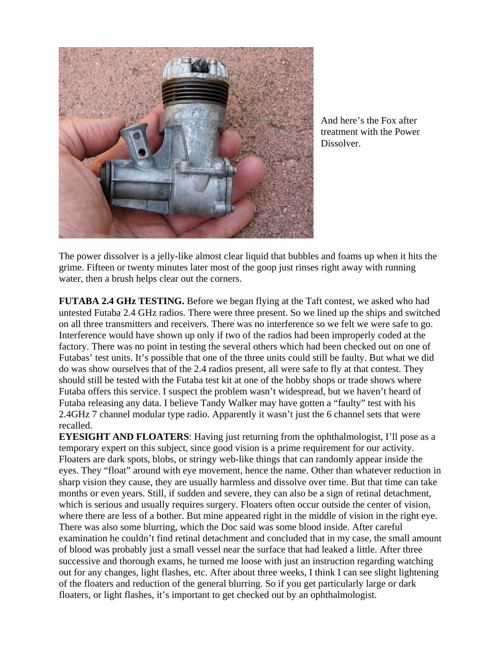

And here's the Fox after treatment with the Power Dissolver.

The power dissolver is a jelly-like almost clear liquid that bubbles and foams up when it hits the grime. Fifteen or twenty minutes later most of the goop just rinses right away with running water, then a brush helps clear out the corners.

**FUTABA 2.4 GHz TESTING.** Before we began flying at the Taft contest, we asked who had untested Futaba 2.4 GHz radios. There were three present. So we lined up the ships and switched on all three transmitters and receivers. There was no interference so we felt we were safe to go. Interference would have shown up only if two of the radios had been improperly coded at the factory. There was no point in testing the several others which had been checked out on one of Futabas' test units. It's possible that one of the three units could still be faulty. But what we did do was show ourselves that of the 2.4 radios present, all were safe to fly at that contest. They should still be tested with the Futaba test kit at one of the hobby shops or trade shows where Futaba offers this service. I suspect the problem wasn't widespread, but we haven't heard of Futaba releasing any data. I believe Tandy Walker may have gotten a "faulty" test with his 2.4GHz 7 channel modular type radio. Apparently it wasn't just the 6 channel sets that were recalled.

**EYESIGHT AND FLOATERS:** Having just returning from the ophthalmologist, I'll pose as a temporary expert on this subject, since good vision is a prime requirement for our activity. Floaters are dark spots, blobs, or stringy web-like things that can randomly appear inside the eyes. They "float" around with eye movement, hence the name. Other than whatever reduction in sharp vision they cause, they are usually harmless and dissolve over time. But that time can take months or even years. Still, if sudden and severe, they can also be a sign of retinal detachment, which is serious and usually requires surgery. Floaters often occur outside the center of vision, where there are less of a bother. But mine appeared right in the middle of vision in the right eye. There was also some blurring, which the Doc said was some blood inside. After careful examination he couldn't find retinal detachment and concluded that in my case, the small amount of blood was probably just a small vessel near the surface that had leaked a little. After three successive and thorough exams, he turned me loose with just an instruction regarding watching out for any changes, light flashes, etc. After about three weeks, I think I can see slight lightening of the floaters and reduction of the general blurring. So if you get particularly large or dark floaters, or light flashes, it's important to get checked out by an ophthalmologist.